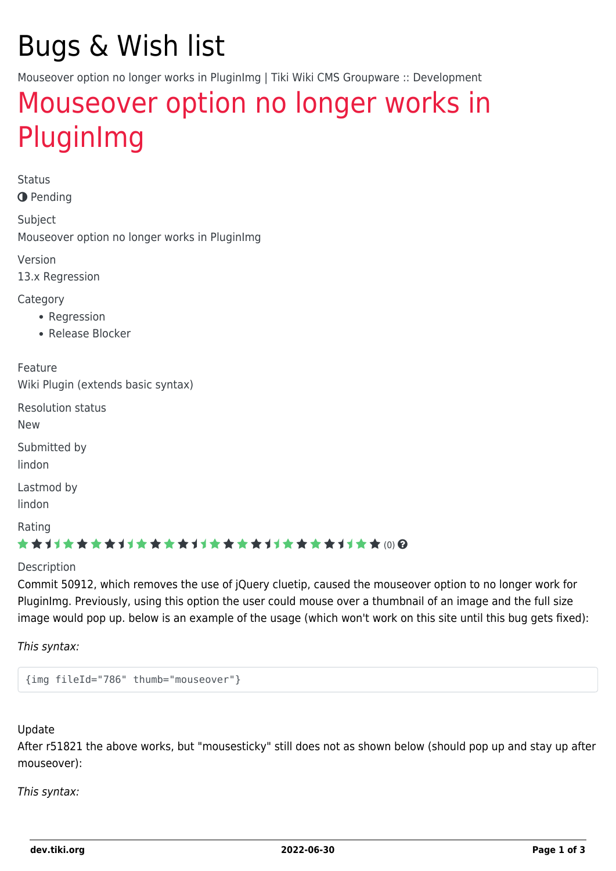# Bugs & Wish list

Mouseover option no longer works in PluginImg | Tiki Wiki CMS Groupware :: Development

## [Mouseover option no longer works in](https://dev.tiki.org/item5288-Mouseover-option-no-longer-works-in-PluginImg) [PluginImg](https://dev.tiki.org/item5288-Mouseover-option-no-longer-works-in-PluginImg)

Status

**O** Pending

Subject Mouseover option no longer works in PluginImg

Version

13.x Regression

Category

- Regression
- Release Blocker

Feature Wiki Plugin (extends basic syntax)

Resolution status

New

Submitted by lindon

Lastmod by

lindon

Rating

#### ★★11★★★★11★★★★11★★★★11★★★★11★★ (0) @

Description

Commit 50912, which removes the use of jQuery cluetip, caused the mouseover option to no longer work for PluginImg. Previously, using this option the user could mouse over a thumbnail of an image and the full size image would pop up. below is an example of the usage (which won't work on this site until this bug gets fixed):

This syntax:

{img fileId="786" thumb="mouseover"}

#### Update

After r51821 the above works, but "mousesticky" still does not as shown below (should pop up and stay up after mouseover):

This syntax: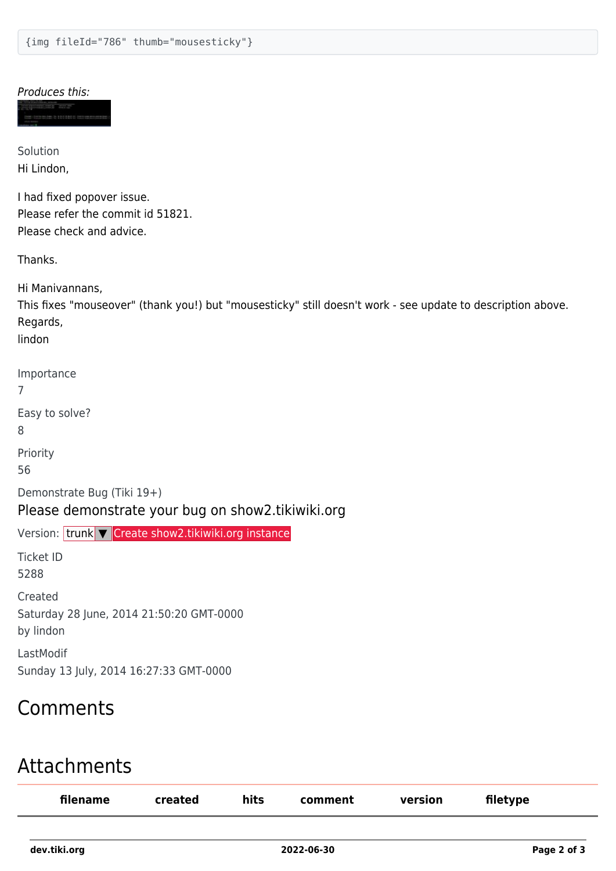#### Produces this:

Solution Hi Lindon,

I had fixed popover issue. Please refer the commit id 51821. Please check and advice.

Thanks.

Hi Manivannans, This fixes "mouseover" (thank you!) but "mousesticky" still doesn't work - see update to description above. Regards,

lindon

Importance

7

Easy to solve?

8

Priority

56

Demonstrate Bug (Tiki 19+)

#### Please demonstrate your bug on show2.tikiwiki.org

Version: trunk ▼ [Create show2.tikiwiki.org instance](#page--1-0)

Ticket ID 5288

Created

Saturday 28 June, 2014 21:50:20 GMT-0000

by lindon

LastModif Sunday 13 July, 2014 16:27:33 GMT-0000

## Comments

### Attachments

| filename | created | hits | comment | version | filetype |  |
|----------|---------|------|---------|---------|----------|--|
|          |         |      |         |         |          |  |